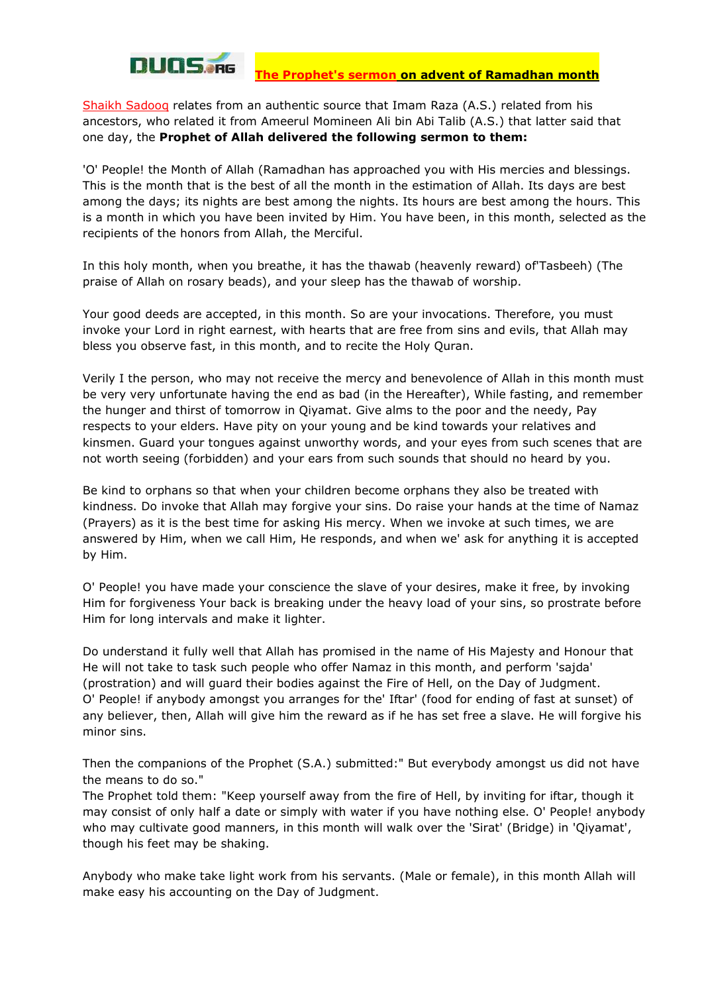

**The Prophet's sermon on advent of Ramadhan month** 

Shaikh Sadooq relates from an authentic source that Imam Raza (A.S.) related from his ancestors, who related it from Ameerul Momineen Ali bin Abi Talib (A.S.) that latter said that one day, the **Prophet of Allah delivered the following sermon to them:** 

'O' People! the Month of Allah (Ramadhan has approached you with His mercies and blessings. This is the month that is the best of all the month in the estimation of Allah. Its days are best among the days; its nights are best among the nights. Its hours are best among the hours. This is a month in which you have been invited by Him. You have been, in this month, selected as the recipients of the honors from Allah, the Merciful.

In this holy month, when you breathe, it has the thawab (heavenly reward) of'Tasbeeh) (The praise of Allah on rosary beads), and your sleep has the thawab of worship.

Your good deeds are accepted, in this month. So are your invocations. Therefore, you must invoke your Lord in right earnest, with hearts that are free from sins and evils, that Allah may bless you observe fast, in this month, and to recite the Holy Quran.

Verily I the person, who may not receive the mercy and benevolence of Allah in this month must be very very unfortunate having the end as bad (in the Hereafter), While fasting, and remember the hunger and thirst of tomorrow in Qiyamat. Give alms to the poor and the needy, Pay respects to your elders. Have pity on your young and be kind towards your relatives and kinsmen. Guard your tongues against unworthy words, and your eyes from such scenes that are not worth seeing (forbidden) and your ears from such sounds that should no heard by you.

Be kind to orphans so that when your children become orphans they also be treated with kindness. Do invoke that Allah may forgive your sins. Do raise your hands at the time of Namaz (Prayers) as it is the best time for asking His mercy. When we invoke at such times, we are answered by Him, when we call Him, He responds, and when we' ask for anything it is accepted by Him.

O' People! you have made your conscience the slave of your desires, make it free, by invoking Him for forgiveness Your back is breaking under the heavy load of your sins, so prostrate before Him for long intervals and make it lighter.

Do understand it fully well that Allah has promised in the name of His Majesty and Honour that He will not take to task such people who offer Namaz in this month, and perform 'sajda' (prostration) and will guard their bodies against the Fire of Hell, on the Day of Judgment. O' People! if anybody amongst you arranges for the' Iftar' (food for ending of fast at sunset) of any believer, then, Allah will give him the reward as if he has set free a slave. He will forgive his minor sins.

Then the companions of the Prophet (S.A.) submitted:" But everybody amongst us did not have the means to do so."

The Prophet told them: "Keep yourself away from the fire of Hell, by inviting for iftar, though it may consist of only half a date or simply with water if you have nothing else. O' People! anybody who may cultivate good manners, in this month will walk over the 'Sirat' (Bridge) in 'Qiyamat', though his feet may be shaking.

Anybody who make take light work from his servants. (Male or female), in this month Allah will make easy his accounting on the Day of Judgment.